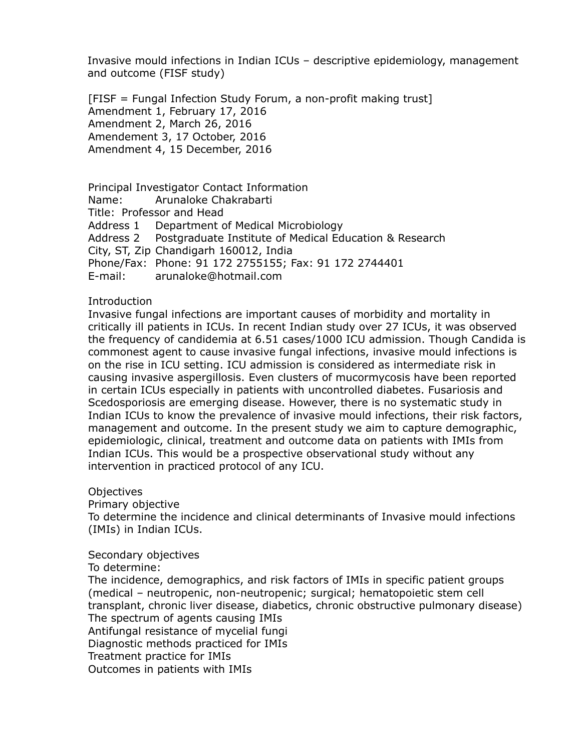Invasive mould infections in Indian ICUs – descriptive epidemiology, management and outcome (FISF study)

[FISF = Fungal Infection Study Forum, a non-profit making trust] Amendment 1, February 17, 2016 Amendment 2, March 26, 2016 Amendement 3, 17 October, 2016 Amendment 4, 15 December, 2016

Principal Investigator Contact Information Name: Arunaloke Chakrabarti Title: Professor and Head Address 1 Department of Medical Microbiology Address 2 Postgraduate Institute of Medical Education & Research City, ST, Zip Chandigarh 160012, India Phone/Fax: Phone: 91 172 2755155; Fax: 91 172 2744401 E-mail: arunaloke@hotmail.com

# Introduction

Invasive fungal infections are important causes of morbidity and mortality in critically ill patients in ICUs. In recent Indian study over 27 ICUs, it was observed the frequency of candidemia at 6.51 cases/1000 ICU admission. Though Candida is commonest agent to cause invasive fungal infections, invasive mould infections is on the rise in ICU setting. ICU admission is considered as intermediate risk in causing invasive aspergillosis. Even clusters of mucormycosis have been reported in certain ICUs especially in patients with uncontrolled diabetes. Fusariosis and Scedosporiosis are emerging disease. However, there is no systematic study in Indian ICUs to know the prevalence of invasive mould infections, their risk factors, management and outcome. In the present study we aim to capture demographic, epidemiologic, clinical, treatment and outcome data on patients with IMIs from Indian ICUs. This would be a prospective observational study without any intervention in practiced protocol of any ICU.

**Objectives** 

Primary objective

To determine the incidence and clinical determinants of Invasive mould infections (IMIs) in Indian ICUs.

### Secondary objectives

To determine:

The incidence, demographics, and risk factors of IMIs in specific patient groups (medical – neutropenic, non-neutropenic; surgical; hematopoietic stem cell transplant, chronic liver disease, diabetics, chronic obstructive pulmonary disease) The spectrum of agents causing IMIs Antifungal resistance of mycelial fungi Diagnostic methods practiced for IMIs Treatment practice for IMIs Outcomes in patients with IMIs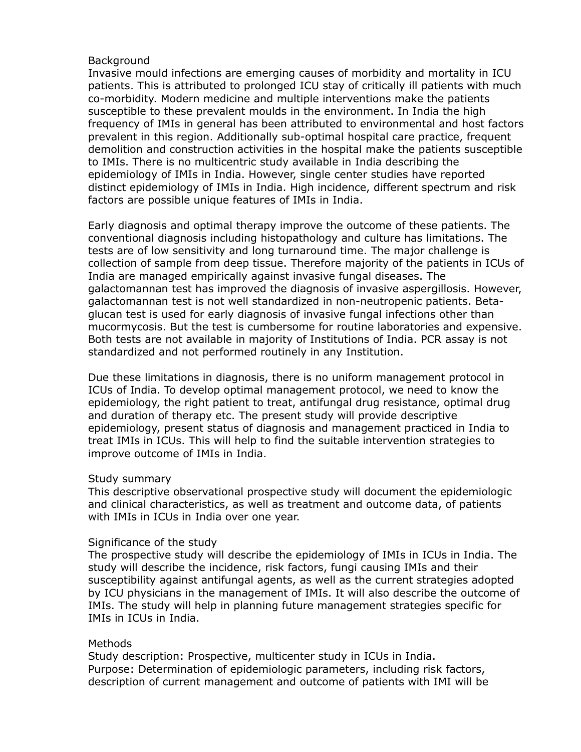## **Background**

Invasive mould infections are emerging causes of morbidity and mortality in ICU patients. This is attributed to prolonged ICU stay of critically ill patients with much co-morbidity. Modern medicine and multiple interventions make the patients susceptible to these prevalent moulds in the environment. In India the high frequency of IMIs in general has been attributed to environmental and host factors prevalent in this region. Additionally sub-optimal hospital care practice, frequent demolition and construction activities in the hospital make the patients susceptible to IMIs. There is no multicentric study available in India describing the epidemiology of IMIs in India. However, single center studies have reported distinct epidemiology of IMIs in India. High incidence, different spectrum and risk factors are possible unique features of IMIs in India.

Early diagnosis and optimal therapy improve the outcome of these patients. The conventional diagnosis including histopathology and culture has limitations. The tests are of low sensitivity and long turnaround time. The major challenge is collection of sample from deep tissue. Therefore majority of the patients in ICUs of India are managed empirically against invasive fungal diseases. The galactomannan test has improved the diagnosis of invasive aspergillosis. However, galactomannan test is not well standardized in non-neutropenic patients. Betaglucan test is used for early diagnosis of invasive fungal infections other than mucormycosis. But the test is cumbersome for routine laboratories and expensive. Both tests are not available in majority of Institutions of India. PCR assay is not standardized and not performed routinely in any Institution.

Due these limitations in diagnosis, there is no uniform management protocol in ICUs of India. To develop optimal management protocol, we need to know the epidemiology, the right patient to treat, antifungal drug resistance, optimal drug and duration of therapy etc. The present study will provide descriptive epidemiology, present status of diagnosis and management practiced in India to treat IMIs in ICUs. This will help to find the suitable intervention strategies to improve outcome of IMIs in India.

### Study summary

This descriptive observational prospective study will document the epidemiologic and clinical characteristics, as well as treatment and outcome data, of patients with IMIs in ICUs in India over one year.

### Significance of the study

The prospective study will describe the epidemiology of IMIs in ICUs in India. The study will describe the incidence, risk factors, fungi causing IMIs and their susceptibility against antifungal agents, as well as the current strategies adopted by ICU physicians in the management of IMIs. It will also describe the outcome of IMIs. The study will help in planning future management strategies specific for IMIs in ICUs in India.

### Methods

Study description: Prospective, multicenter study in ICUs in India. Purpose: Determination of epidemiologic parameters, including risk factors, description of current management and outcome of patients with IMI will be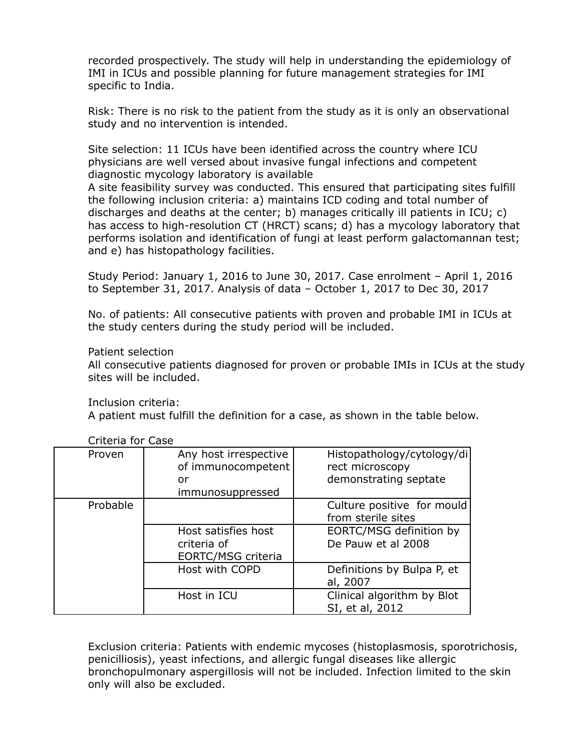recorded prospectively. The study will help in understanding the epidemiology of IMI in ICUs and possible planning for future management strategies for IMI specific to India.

Risk: There is no risk to the patient from the study as it is only an observational study and no intervention is intended.

Site selection: 11 ICUs have been identified across the country where ICU physicians are well versed about invasive fungal infections and competent diagnostic mycology laboratory is available

A site feasibility survey was conducted. This ensured that participating sites fulfill the following inclusion criteria: a) maintains ICD coding and total number of discharges and deaths at the center; b) manages critically ill patients in ICU; c) has access to high-resolution CT (HRCT) scans; d) has a mycology laboratory that performs isolation and identification of fungi at least perform galactomannan test; and e) has histopathology facilities.

Study Period: January 1, 2016 to June 30, 2017. Case enrolment – April 1, 2016 to September 31, 2017. Analysis of data – October 1, 2017 to Dec 30, 2017

No. of patients: All consecutive patients with proven and probable IMI in ICUs at the study centers during the study period will be included.

### Patient selection

All consecutive patients diagnosed for proven or probable IMIs in ICUs at the study sites will be included.

Inclusion criteria:

A patient must fulfill the definition for a case, as shown in the table below.

| Proven   | Any host irrespective<br>of immunocompetent<br>or<br>immunosuppressed | Histopathology/cytology/di<br>rect microscopy<br>demonstrating septate                            |
|----------|-----------------------------------------------------------------------|---------------------------------------------------------------------------------------------------|
| Probable | Host satisfies host<br>criteria of<br>EORTC/MSG criteria              | Culture positive for mould<br>from sterile sites<br>EORTC/MSG definition by<br>De Pauw et al 2008 |
|          | Host with COPD                                                        | Definitions by Bulpa P, et<br>al, 2007                                                            |
|          | Host in ICU                                                           | Clinical algorithm by Blot<br>SI, et al, 2012                                                     |

Criteria for Case

Exclusion criteria: Patients with endemic mycoses (histoplasmosis, sporotrichosis, penicilliosis), yeast infections, and allergic fungal diseases like allergic bronchopulmonary aspergillosis will not be included. Infection limited to the skin only will also be excluded.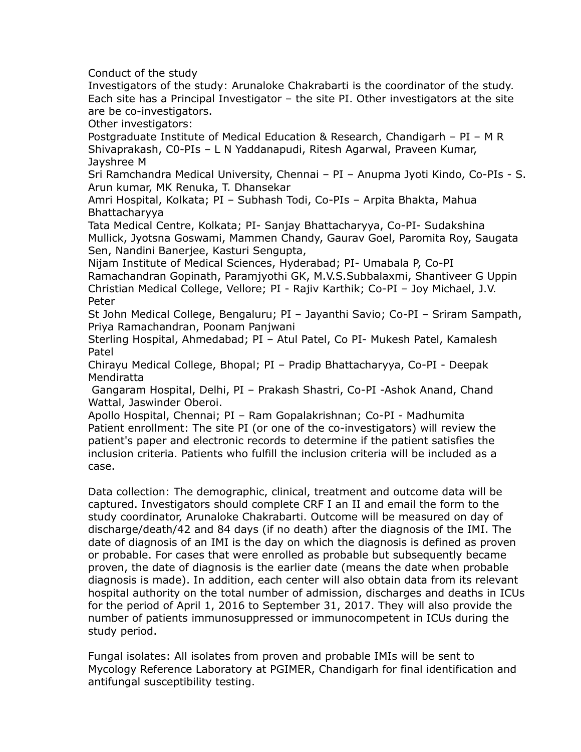Conduct of the study

Investigators of the study: Arunaloke Chakrabarti is the coordinator of the study. Each site has a Principal Investigator – the site PI. Other investigators at the site are be co-investigators.

Other investigators:

Postgraduate Institute of Medical Education & Research, Chandigarh – PI – M R Shivaprakash, C0-PIs – L N Yaddanapudi, Ritesh Agarwal, Praveen Kumar, Jayshree M

Sri Ramchandra Medical University, Chennai – PI – Anupma Jyoti Kindo, Co-PIs - S. Arun kumar, MK Renuka, T. Dhansekar

Amri Hospital, Kolkata; PI – Subhash Todi, Co-PIs – Arpita Bhakta, Mahua Bhattacharyya

Tata Medical Centre, Kolkata; PI- Sanjay Bhattacharyya, Co-PI- Sudakshina Mullick, Jyotsna Goswami, Mammen Chandy, Gaurav Goel, Paromita Roy, Saugata Sen, Nandini Banerjee, Kasturi Sengupta,

Nijam Institute of Medical Sciences, Hyderabad; PI- Umabala P, Co-PI Ramachandran Gopinath, Paramjyothi GK, M.V.S.Subbalaxmi, Shantiveer G Uppin Christian Medical College, Vellore; PI - Rajiv Karthik; Co-PI – Joy Michael, J.V. Peter

St John Medical College, Bengaluru; PI – Jayanthi Savio; Co-PI – Sriram Sampath, Priya Ramachandran, Poonam Panjwani

Sterling Hospital, Ahmedabad; PI – Atul Patel, Co PI- Mukesh Patel, Kamalesh Patel

Chirayu Medical College, Bhopal; PI – Pradip Bhattacharyya, Co-PI - Deepak Mendiratta

 Gangaram Hospital, Delhi, PI – Prakash Shastri, Co-PI -Ashok Anand, Chand Wattal, Jaswinder Oberoi.

Apollo Hospital, Chennai; PI – Ram Gopalakrishnan; Co-PI - Madhumita Patient enrollment: The site PI (or one of the co-investigators) will review the patient's paper and electronic records to determine if the patient satisfies the inclusion criteria. Patients who fulfill the inclusion criteria will be included as a case.

Data collection: The demographic, clinical, treatment and outcome data will be captured. Investigators should complete CRF I an II and email the form to the study coordinator, Arunaloke Chakrabarti. Outcome will be measured on day of discharge/death/42 and 84 days (if no death) after the diagnosis of the IMI. The date of diagnosis of an IMI is the day on which the diagnosis is defined as proven or probable. For cases that were enrolled as probable but subsequently became proven, the date of diagnosis is the earlier date (means the date when probable diagnosis is made). In addition, each center will also obtain data from its relevant hospital authority on the total number of admission, discharges and deaths in ICUs for the period of April 1, 2016 to September 31, 2017. They will also provide the number of patients immunosuppressed or immunocompetent in ICUs during the study period.

Fungal isolates: All isolates from proven and probable IMIs will be sent to Mycology Reference Laboratory at PGIMER, Chandigarh for final identification and antifungal susceptibility testing.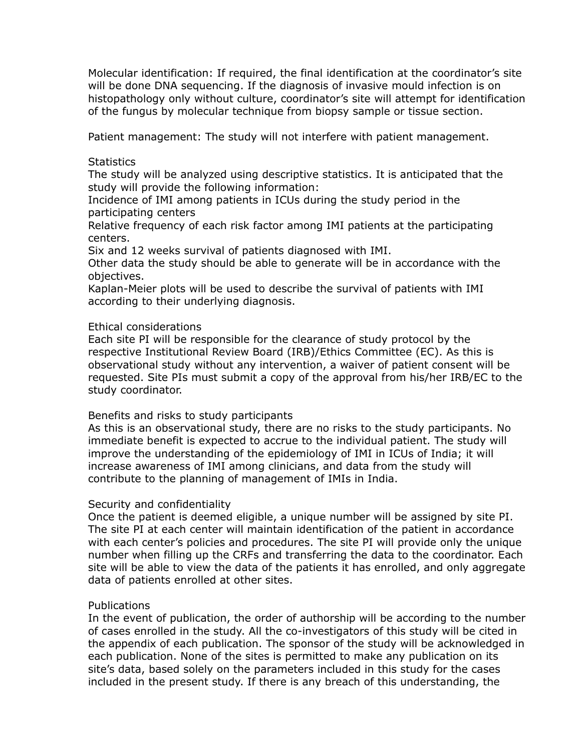Molecular identification: If required, the final identification at the coordinator's site will be done DNA sequencing. If the diagnosis of invasive mould infection is on histopathology only without culture, coordinator's site will attempt for identification of the fungus by molecular technique from biopsy sample or tissue section.

Patient management: The study will not interfere with patient management.

## **Statistics**

The study will be analyzed using descriptive statistics. It is anticipated that the study will provide the following information:

Incidence of IMI among patients in ICUs during the study period in the participating centers

Relative frequency of each risk factor among IMI patients at the participating centers.

Six and 12 weeks survival of patients diagnosed with IMI.

Other data the study should be able to generate will be in accordance with the objectives.

Kaplan-Meier plots will be used to describe the survival of patients with IMI according to their underlying diagnosis.

# Ethical considerations

Each site PI will be responsible for the clearance of study protocol by the respective Institutional Review Board (IRB)/Ethics Committee (EC). As this is observational study without any intervention, a waiver of patient consent will be requested. Site PIs must submit a copy of the approval from his/her IRB/EC to the study coordinator.

### Benefits and risks to study participants

As this is an observational study, there are no risks to the study participants. No immediate benefit is expected to accrue to the individual patient. The study will improve the understanding of the epidemiology of IMI in ICUs of India; it will increase awareness of IMI among clinicians, and data from the study will contribute to the planning of management of IMIs in India.

### Security and confidentiality

Once the patient is deemed eligible, a unique number will be assigned by site PI. The site PI at each center will maintain identification of the patient in accordance with each center's policies and procedures. The site PI will provide only the unique number when filling up the CRFs and transferring the data to the coordinator. Each site will be able to view the data of the patients it has enrolled, and only aggregate data of patients enrolled at other sites.

### **Publications**

In the event of publication, the order of authorship will be according to the number of cases enrolled in the study. All the co-investigators of this study will be cited in the appendix of each publication. The sponsor of the study will be acknowledged in each publication. None of the sites is permitted to make any publication on its site's data, based solely on the parameters included in this study for the cases included in the present study. If there is any breach of this understanding, the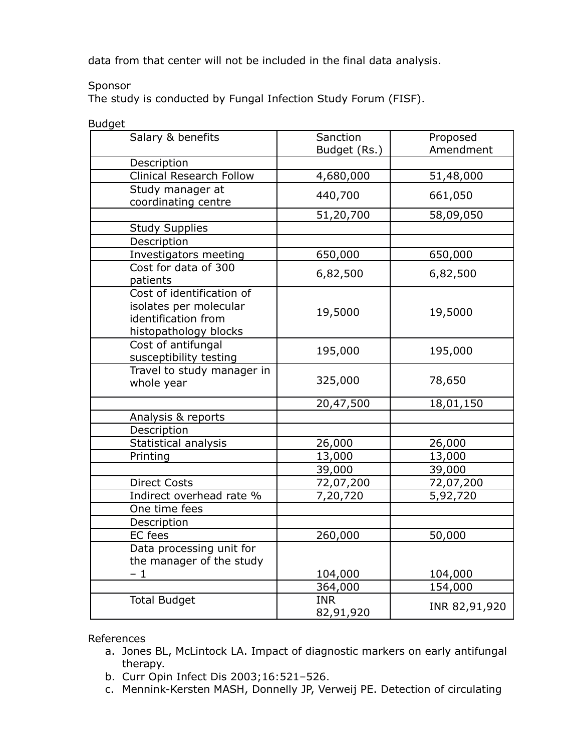data from that center will not be included in the final data analysis.

### Sponsor

The study is conducted by Fungal Infection Study Forum (FISF).

| suuguu                                                                                              |                         |               |
|-----------------------------------------------------------------------------------------------------|-------------------------|---------------|
| Salary & benefits                                                                                   | Sanction                | Proposed      |
|                                                                                                     | Budget (Rs.)            | Amendment     |
| Description                                                                                         |                         |               |
| <b>Clinical Research Follow</b>                                                                     | 4,680,000               | 51,48,000     |
| Study manager at<br>coordinating centre                                                             | 440,700                 | 661,050       |
|                                                                                                     | 51,20,700               | 58,09,050     |
| <b>Study Supplies</b>                                                                               |                         |               |
| Description                                                                                         |                         |               |
| Investigators meeting                                                                               | 650,000                 | 650,000       |
| Cost for data of 300<br>patients                                                                    | 6,82,500                | 6,82,500      |
| Cost of identification of<br>isolates per molecular<br>identification from<br>histopathology blocks | 19,5000                 | 19,5000       |
| Cost of antifungal<br>susceptibility testing                                                        | 195,000                 | 195,000       |
| Travel to study manager in<br>whole year                                                            | 325,000                 | 78,650        |
|                                                                                                     | 20,47,500               | 18,01,150     |
| Analysis & reports                                                                                  |                         |               |
| Description                                                                                         |                         |               |
| Statistical analysis                                                                                | 26,000                  | 26,000        |
| Printing                                                                                            | 13,000                  | 13,000        |
|                                                                                                     | 39,000                  | 39,000        |
| <b>Direct Costs</b>                                                                                 | 72,07,200               | 72,07,200     |
| Indirect overhead rate %                                                                            | 7,20,720                | 5,92,720      |
| One time fees                                                                                       |                         |               |
| Description                                                                                         |                         |               |
| <b>EC</b> fees                                                                                      | 260,000                 | 50,000        |
| Data processing unit for<br>the manager of the study                                                |                         |               |
| $-1$                                                                                                | 104,000                 | 104,000       |
|                                                                                                     | 364,000                 | 154,000       |
| <b>Total Budget</b>                                                                                 | <b>INR</b><br>82,91,920 | INR 82,91,920 |

**Budget** 

References

- a. Jones BL, McLintock LA. Impact of diagnostic markers on early antifungal therapy.
- b. Curr Opin Infect Dis 2003;16:521–526.
- c. Mennink-Kersten MASH, Donnelly JP, Verweij PE. Detection of circulating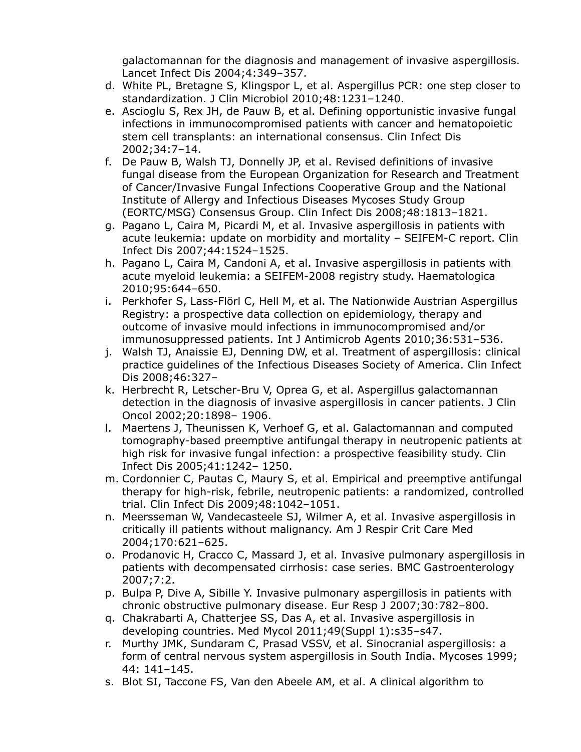galactomannan for the diagnosis and management of invasive aspergillosis. Lancet Infect Dis 2004;4:349–357.

- d. White PL, Bretagne S, Klingspor L, et al. Aspergillus PCR: one step closer to standardization. J Clin Microbiol 2010;48:1231–1240.
- e. Ascioglu S, Rex JH, de Pauw B, et al. Defining opportunistic invasive fungal infections in immunocompromised patients with cancer and hematopoietic stem cell transplants: an international consensus. Clin Infect Dis 2002;34:7–14.
- f. De Pauw B, Walsh TJ, Donnelly JP, et al. Revised definitions of invasive fungal disease from the European Organization for Research and Treatment of Cancer/Invasive Fungal Infections Cooperative Group and the National Institute of Allergy and Infectious Diseases Mycoses Study Group (EORTC/MSG) Consensus Group. Clin Infect Dis 2008;48:1813–1821.
- g. Pagano L, Caira M, Picardi M, et al. Invasive aspergillosis in patients with acute leukemia: update on morbidity and mortality – SEIFEM-C report. Clin Infect Dis 2007;44:1524–1525.
- h. Pagano L, Caira M, Candoni A, et al. Invasive aspergillosis in patients with acute myeloid leukemia: a SEIFEM-2008 registry study. Haematologica 2010;95:644–650.
- i. Perkhofer S, Lass-Flörl C, Hell M, et al. The Nationwide Austrian Aspergillus Registry: a prospective data collection on epidemiology, therapy and outcome of invasive mould infections in immunocompromised and/or immunosuppressed patients. Int J Antimicrob Agents 2010;36:531–536.
- j. Walsh TJ, Anaissie EJ, Denning DW, et al. Treatment of aspergillosis: clinical practice guidelines of the Infectious Diseases Society of America. Clin Infect Dis 2008;46:327–
- k. Herbrecht R, Letscher-Bru V, Oprea G, et al. Aspergillus galactomannan detection in the diagnosis of invasive aspergillosis in cancer patients. J Clin Oncol 2002;20:1898– 1906.
- l. Maertens J, Theunissen K, Verhoef G, et al. Galactomannan and computed tomography-based preemptive antifungal therapy in neutropenic patients at high risk for invasive fungal infection: a prospective feasibility study. Clin Infect Dis 2005;41:1242– 1250.
- m. Cordonnier C, Pautas C, Maury S, et al. Empirical and preemptive antifungal therapy for high-risk, febrile, neutropenic patients: a randomized, controlled trial. Clin Infect Dis 2009;48:1042–1051.
- n. Meersseman W, Vandecasteele SJ, Wilmer A, et al. Invasive aspergillosis in critically ill patients without malignancy. Am J Respir Crit Care Med 2004;170:621–625.
- o. Prodanovic H, Cracco C, Massard J, et al. Invasive pulmonary aspergillosis in patients with decompensated cirrhosis: case series. BMC Gastroenterology 2007;7:2.
- p. Bulpa P, Dive A, Sibille Y. Invasive pulmonary aspergillosis in patients with chronic obstructive pulmonary disease. Eur Resp J 2007;30:782–800.
- q. Chakrabarti A, Chatterjee SS, Das A, et al. Invasive aspergillosis in developing countries. Med Mycol 2011;49(Suppl 1):s35–s47.
- r. Murthy JMK, Sundaram C, Prasad VSSV, et al. Sinocranial aspergillosis: a form of central nervous system aspergillosis in South India. Mycoses 1999; 44: 141–145.
- s. Blot SI, Taccone FS, Van den Abeele AM, et al. A clinical algorithm to